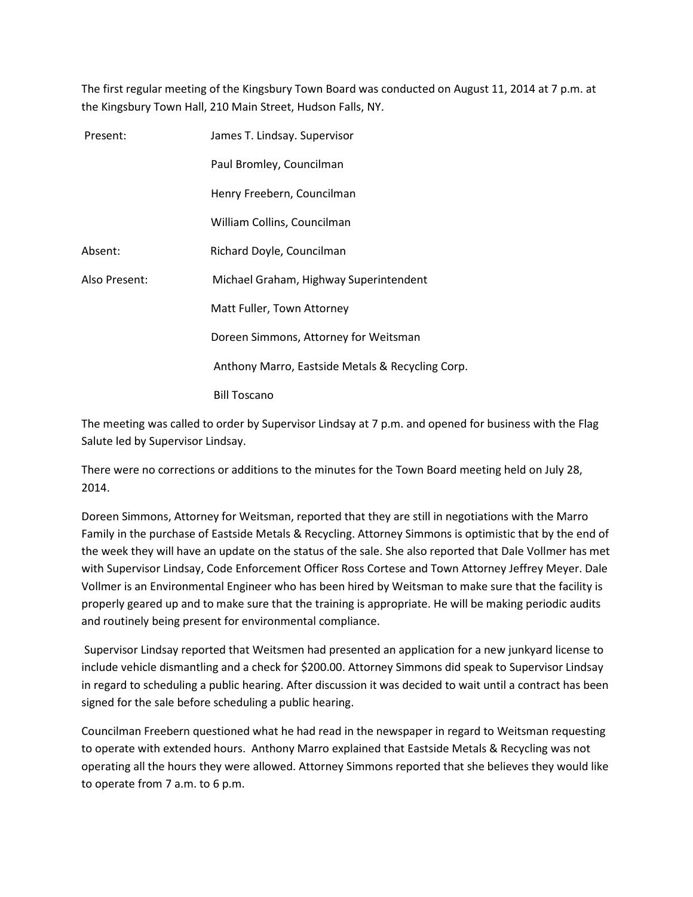The first regular meeting of the Kingsbury Town Board was conducted on August 11, 2014 at 7 p.m. at the Kingsbury Town Hall, 210 Main Street, Hudson Falls, NY.

| Present:      | James T. Lindsay. Supervisor                     |
|---------------|--------------------------------------------------|
|               | Paul Bromley, Councilman                         |
|               | Henry Freebern, Councilman                       |
|               | William Collins, Councilman                      |
| Absent:       | Richard Doyle, Councilman                        |
| Also Present: | Michael Graham, Highway Superintendent           |
|               | Matt Fuller, Town Attorney                       |
|               | Doreen Simmons, Attorney for Weitsman            |
|               | Anthony Marro, Eastside Metals & Recycling Corp. |
|               | <b>Bill Toscano</b>                              |

The meeting was called to order by Supervisor Lindsay at 7 p.m. and opened for business with the Flag Salute led by Supervisor Lindsay.

There were no corrections or additions to the minutes for the Town Board meeting held on July 28, 2014.

Doreen Simmons, Attorney for Weitsman, reported that they are still in negotiations with the Marro Family in the purchase of Eastside Metals & Recycling. Attorney Simmons is optimistic that by the end of the week they will have an update on the status of the sale. She also reported that Dale Vollmer has met with Supervisor Lindsay, Code Enforcement Officer Ross Cortese and Town Attorney Jeffrey Meyer. Dale Vollmer is an Environmental Engineer who has been hired by Weitsman to make sure that the facility is properly geared up and to make sure that the training is appropriate. He will be making periodic audits and routinely being present for environmental compliance.

 Supervisor Lindsay reported that Weitsmen had presented an application for a new junkyard license to include vehicle dismantling and a check for \$200.00. Attorney Simmons did speak to Supervisor Lindsay in regard to scheduling a public hearing. After discussion it was decided to wait until a contract has been signed for the sale before scheduling a public hearing.

Councilman Freebern questioned what he had read in the newspaper in regard to Weitsman requesting to operate with extended hours. Anthony Marro explained that Eastside Metals & Recycling was not operating all the hours they were allowed. Attorney Simmons reported that she believes they would like to operate from 7 a.m. to 6 p.m.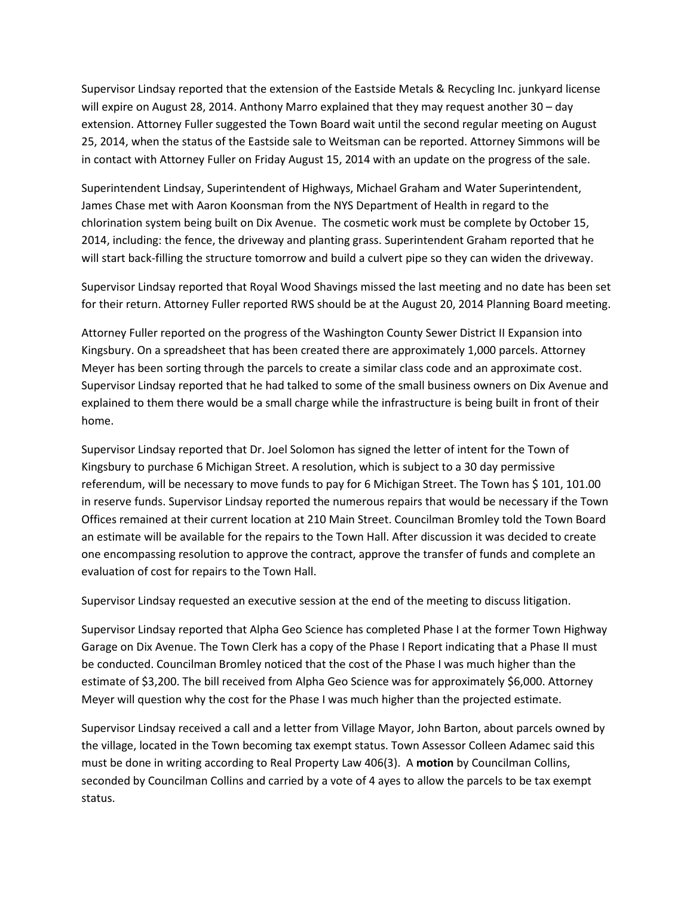Supervisor Lindsay reported that the extension of the Eastside Metals & Recycling Inc. junkyard license will expire on August 28, 2014. Anthony Marro explained that they may request another 30 – day extension. Attorney Fuller suggested the Town Board wait until the second regular meeting on August 25, 2014, when the status of the Eastside sale to Weitsman can be reported. Attorney Simmons will be in contact with Attorney Fuller on Friday August 15, 2014 with an update on the progress of the sale.

Superintendent Lindsay, Superintendent of Highways, Michael Graham and Water Superintendent, James Chase met with Aaron Koonsman from the NYS Department of Health in regard to the chlorination system being built on Dix Avenue. The cosmetic work must be complete by October 15, 2014, including: the fence, the driveway and planting grass. Superintendent Graham reported that he will start back-filling the structure tomorrow and build a culvert pipe so they can widen the driveway.

Supervisor Lindsay reported that Royal Wood Shavings missed the last meeting and no date has been set for their return. Attorney Fuller reported RWS should be at the August 20, 2014 Planning Board meeting.

Attorney Fuller reported on the progress of the Washington County Sewer District II Expansion into Kingsbury. On a spreadsheet that has been created there are approximately 1,000 parcels. Attorney Meyer has been sorting through the parcels to create a similar class code and an approximate cost. Supervisor Lindsay reported that he had talked to some of the small business owners on Dix Avenue and explained to them there would be a small charge while the infrastructure is being built in front of their home.

Supervisor Lindsay reported that Dr. Joel Solomon has signed the letter of intent for the Town of Kingsbury to purchase 6 Michigan Street. A resolution, which is subject to a 30 day permissive referendum, will be necessary to move funds to pay for 6 Michigan Street. The Town has \$ 101, 101.00 in reserve funds. Supervisor Lindsay reported the numerous repairs that would be necessary if the Town Offices remained at their current location at 210 Main Street. Councilman Bromley told the Town Board an estimate will be available for the repairs to the Town Hall. After discussion it was decided to create one encompassing resolution to approve the contract, approve the transfer of funds and complete an evaluation of cost for repairs to the Town Hall.

Supervisor Lindsay requested an executive session at the end of the meeting to discuss litigation.

Supervisor Lindsay reported that Alpha Geo Science has completed Phase I at the former Town Highway Garage on Dix Avenue. The Town Clerk has a copy of the Phase I Report indicating that a Phase II must be conducted. Councilman Bromley noticed that the cost of the Phase I was much higher than the estimate of \$3,200. The bill received from Alpha Geo Science was for approximately \$6,000. Attorney Meyer will question why the cost for the Phase I was much higher than the projected estimate.

Supervisor Lindsay received a call and a letter from Village Mayor, John Barton, about parcels owned by the village, located in the Town becoming tax exempt status. Town Assessor Colleen Adamec said this must be done in writing according to Real Property Law 406(3). A motion by Councilman Collins, seconded by Councilman Collins and carried by a vote of 4 ayes to allow the parcels to be tax exempt status.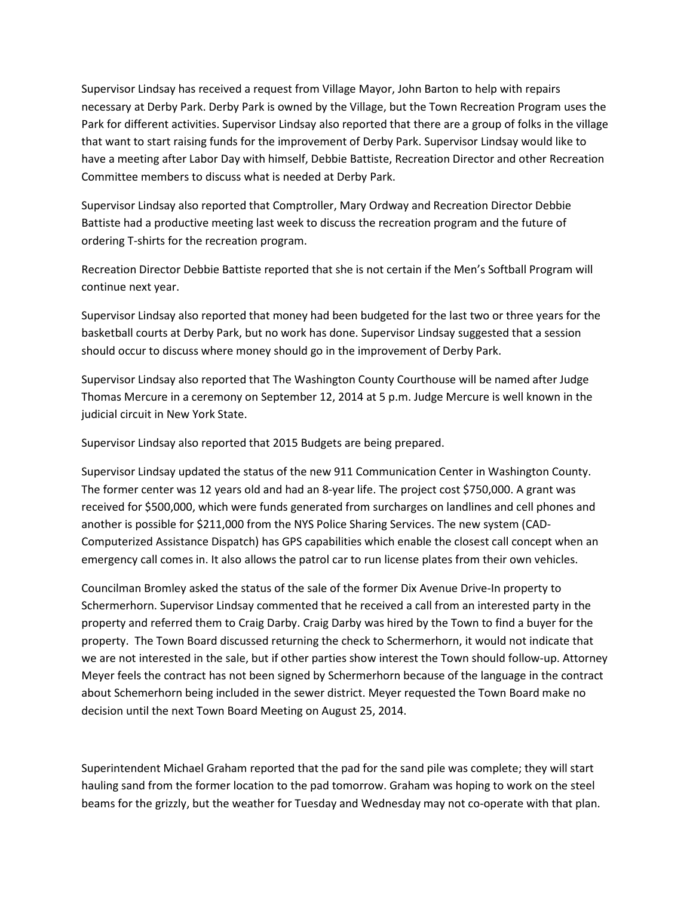Supervisor Lindsay has received a request from Village Mayor, John Barton to help with repairs necessary at Derby Park. Derby Park is owned by the Village, but the Town Recreation Program uses the Park for different activities. Supervisor Lindsay also reported that there are a group of folks in the village that want to start raising funds for the improvement of Derby Park. Supervisor Lindsay would like to have a meeting after Labor Day with himself, Debbie Battiste, Recreation Director and other Recreation Committee members to discuss what is needed at Derby Park.

Supervisor Lindsay also reported that Comptroller, Mary Ordway and Recreation Director Debbie Battiste had a productive meeting last week to discuss the recreation program and the future of ordering T-shirts for the recreation program.

Recreation Director Debbie Battiste reported that she is not certain if the Men's Softball Program will continue next year.

Supervisor Lindsay also reported that money had been budgeted for the last two or three years for the basketball courts at Derby Park, but no work has done. Supervisor Lindsay suggested that a session should occur to discuss where money should go in the improvement of Derby Park.

Supervisor Lindsay also reported that The Washington County Courthouse will be named after Judge Thomas Mercure in a ceremony on September 12, 2014 at 5 p.m. Judge Mercure is well known in the judicial circuit in New York State.

Supervisor Lindsay also reported that 2015 Budgets are being prepared.

Supervisor Lindsay updated the status of the new 911 Communication Center in Washington County. The former center was 12 years old and had an 8-year life. The project cost \$750,000. A grant was received for \$500,000, which were funds generated from surcharges on landlines and cell phones and another is possible for \$211,000 from the NYS Police Sharing Services. The new system (CAD-Computerized Assistance Dispatch) has GPS capabilities which enable the closest call concept when an emergency call comes in. It also allows the patrol car to run license plates from their own vehicles.

Councilman Bromley asked the status of the sale of the former Dix Avenue Drive-In property to Schermerhorn. Supervisor Lindsay commented that he received a call from an interested party in the property and referred them to Craig Darby. Craig Darby was hired by the Town to find a buyer for the property. The Town Board discussed returning the check to Schermerhorn, it would not indicate that we are not interested in the sale, but if other parties show interest the Town should follow-up. Attorney Meyer feels the contract has not been signed by Schermerhorn because of the language in the contract about Schemerhorn being included in the sewer district. Meyer requested the Town Board make no decision until the next Town Board Meeting on August 25, 2014.

Superintendent Michael Graham reported that the pad for the sand pile was complete; they will start hauling sand from the former location to the pad tomorrow. Graham was hoping to work on the steel beams for the grizzly, but the weather for Tuesday and Wednesday may not co-operate with that plan.